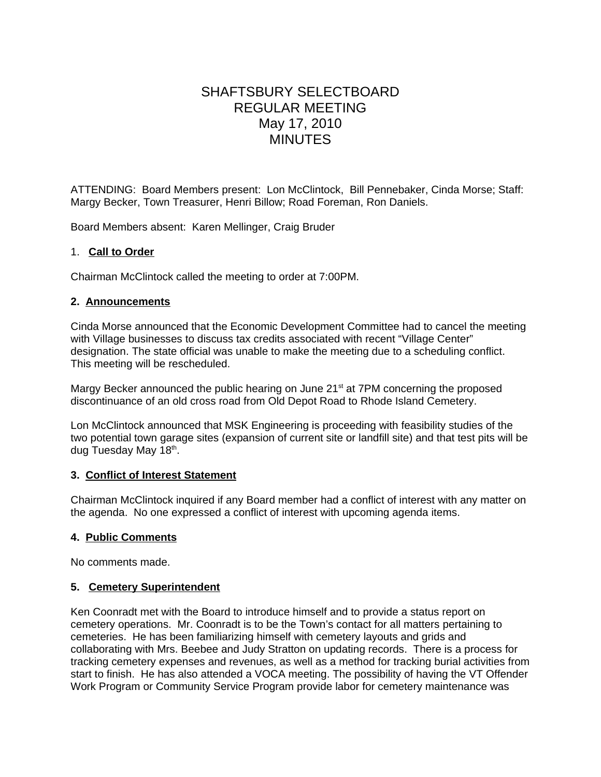# SHAFTSBURY SELECTBOARD REGULAR MEETING May 17, 2010 MINUTES

ATTENDING: Board Members present: Lon McClintock, Bill Pennebaker, Cinda Morse; Staff: Margy Becker, Town Treasurer, Henri Billow; Road Foreman, Ron Daniels.

Board Members absent: Karen Mellinger, Craig Bruder

## 1. **Call to Order**

Chairman McClintock called the meeting to order at 7:00PM.

## **2. Announcements**

Cinda Morse announced that the Economic Development Committee had to cancel the meeting with Village businesses to discuss tax credits associated with recent "Village Center" designation. The state official was unable to make the meeting due to a scheduling conflict. This meeting will be rescheduled.

Margy Becker announced the public hearing on June 21<sup>st</sup> at 7PM concerning the proposed discontinuance of an old cross road from Old Depot Road to Rhode Island Cemetery.

Lon McClintock announced that MSK Engineering is proceeding with feasibility studies of the two potential town garage sites (expansion of current site or landfill site) and that test pits will be dug Tuesday May 18th.

### **3. Conflict of Interest Statement**

Chairman McClintock inquired if any Board member had a conflict of interest with any matter on the agenda. No one expressed a conflict of interest with upcoming agenda items.

### **4. Public Comments**

No comments made.

### **5. Cemetery Superintendent**

Ken Coonradt met with the Board to introduce himself and to provide a status report on cemetery operations. Mr. Coonradt is to be the Town's contact for all matters pertaining to cemeteries. He has been familiarizing himself with cemetery layouts and grids and collaborating with Mrs. Beebee and Judy Stratton on updating records. There is a process for tracking cemetery expenses and revenues, as well as a method for tracking burial activities from start to finish. He has also attended a VOCA meeting. The possibility of having the VT Offender Work Program or Community Service Program provide labor for cemetery maintenance was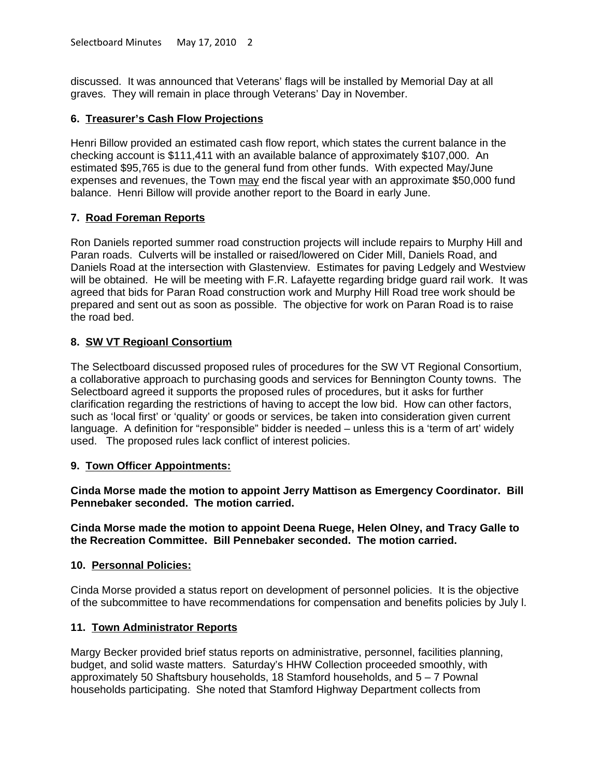discussed. It was announced that Veterans' flags will be installed by Memorial Day at all graves. They will remain in place through Veterans' Day in November.

## **6. Treasurer's Cash Flow Projections**

Henri Billow provided an estimated cash flow report, which states the current balance in the checking account is \$111,411 with an available balance of approximately \$107,000. An estimated \$95,765 is due to the general fund from other funds. With expected May/June expenses and revenues, the Town may end the fiscal year with an approximate \$50,000 fund balance. Henri Billow will provide another report to the Board in early June.

# **7. Road Foreman Reports**

Ron Daniels reported summer road construction projects will include repairs to Murphy Hill and Paran roads. Culverts will be installed or raised/lowered on Cider Mill, Daniels Road, and Daniels Road at the intersection with Glastenview. Estimates for paving Ledgely and Westview will be obtained. He will be meeting with F.R. Lafayette regarding bridge guard rail work. It was agreed that bids for Paran Road construction work and Murphy Hill Road tree work should be prepared and sent out as soon as possible. The objective for work on Paran Road is to raise the road bed.

# **8. SW VT Regioanl Consortium**

The Selectboard discussed proposed rules of procedures for the SW VT Regional Consortium, a collaborative approach to purchasing goods and services for Bennington County towns. The Selectboard agreed it supports the proposed rules of procedures, but it asks for further clarification regarding the restrictions of having to accept the low bid. How can other factors, such as 'local first' or 'quality' or goods or services, be taken into consideration given current language. A definition for "responsible" bidder is needed – unless this is a 'term of art' widely used. The proposed rules lack conflict of interest policies.

## **9. Town Officer Appointments:**

**Cinda Morse made the motion to appoint Jerry Mattison as Emergency Coordinator. Bill Pennebaker seconded. The motion carried.**

**Cinda Morse made the motion to appoint Deena Ruege, Helen Olney, and Tracy Galle to the Recreation Committee. Bill Pennebaker seconded. The motion carried.**

## **10. Personnal Policies:**

Cinda Morse provided a status report on development of personnel policies. It is the objective of the subcommittee to have recommendations for compensation and benefits policies by July l.

## **11. Town Administrator Reports**

Margy Becker provided brief status reports on administrative, personnel, facilities planning, budget, and solid waste matters. Saturday's HHW Collection proceeded smoothly, with approximately 50 Shaftsbury households, 18 Stamford households, and 5 – 7 Pownal households participating. She noted that Stamford Highway Department collects from